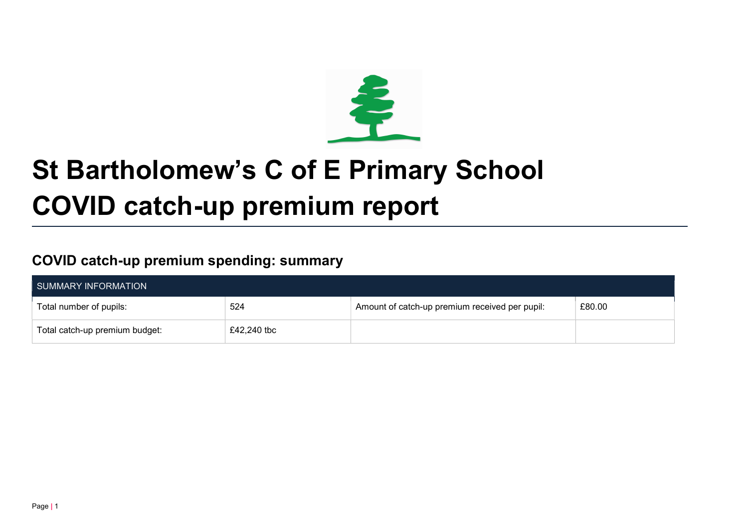

# St Bartholomew's C of E Primary School COVID catch-up premium report

## COVID catch-up premium spending: summary

| SUMMARY INFORMATION            |             |                                                |        |  |  |
|--------------------------------|-------------|------------------------------------------------|--------|--|--|
| Total number of pupils:        | 524         | Amount of catch-up premium received per pupil: | £80.00 |  |  |
| Total catch-up premium budget: | £42,240 tbc |                                                |        |  |  |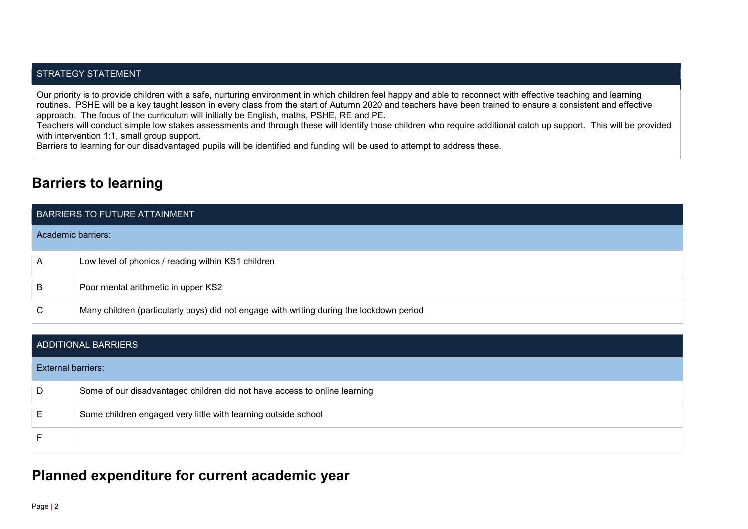#### STRATEGY STATEMENT

Our priority is to provide children with a safe, nurturing environment in which children feel happy and able to reconnect with effective teaching and learning routines. PSHE will be a key taught lesson in every class from the start of Autumn 2020 and teachers have been trained to ensure a consistent and effective approach. The focus of the curriculum will initially be English, maths, PSHE, RE and PE.

Teachers will conduct simple low stakes assessments and through these will identify those children who require additional catch up support. This will be provided with intervention 1:1, small group support.

Barriers to learning for our disadvantaged pupils will be identified and funding will be used to attempt to address these.

### Barriers to learning

| BARRIERS TO FUTURE ATTAINMENT |                                                                                          |  |  |
|-------------------------------|------------------------------------------------------------------------------------------|--|--|
| Academic barriers:            |                                                                                          |  |  |
| $\mathsf{A}$                  | Low level of phonics / reading within KS1 children                                       |  |  |
| B                             | Poor mental arithmetic in upper KS2                                                      |  |  |
| $\mathsf{C}$                  | Many children (particularly boys) did not engage with writing during the lockdown period |  |  |

| ADDITIONAL BARRIERS       |                                                                           |  |  |
|---------------------------|---------------------------------------------------------------------------|--|--|
| <b>External barriers:</b> |                                                                           |  |  |
| D                         | Some of our disadvantaged children did not have access to online learning |  |  |
| E                         | Some children engaged very little with learning outside school            |  |  |
|                           |                                                                           |  |  |

#### Planned expenditure for current academic year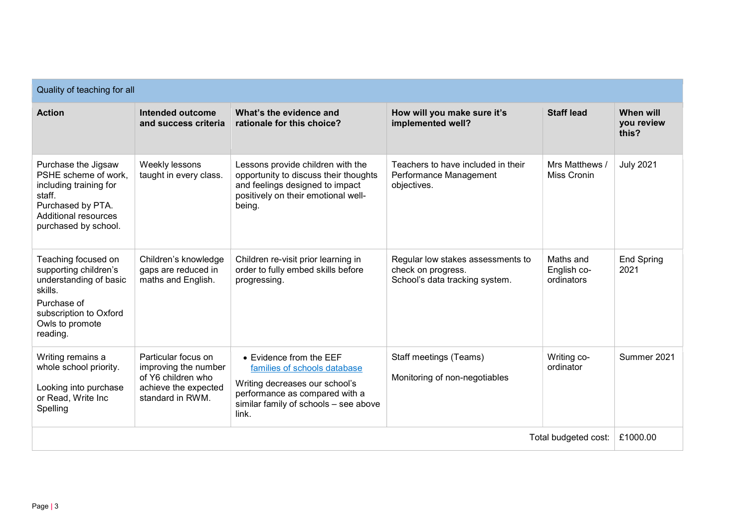| Quality of teaching for all                                                                                                                               |                                                                                                               |                                                                                                                                                                               |                                                                                           |                                        |                                  |  |
|-----------------------------------------------------------------------------------------------------------------------------------------------------------|---------------------------------------------------------------------------------------------------------------|-------------------------------------------------------------------------------------------------------------------------------------------------------------------------------|-------------------------------------------------------------------------------------------|----------------------------------------|----------------------------------|--|
| <b>Action</b>                                                                                                                                             | Intended outcome<br>and success criteria                                                                      | What's the evidence and<br>rationale for this choice?                                                                                                                         | How will you make sure it's<br>implemented well?                                          | <b>Staff lead</b>                      | When will<br>you review<br>this? |  |
| Purchase the Jigsaw<br>PSHE scheme of work,<br>including training for<br>staff.<br>Purchased by PTA.<br>Additional resources<br>purchased by school.      | Weekly lessons<br>taught in every class.                                                                      | Lessons provide children with the<br>opportunity to discuss their thoughts<br>and feelings designed to impact<br>positively on their emotional well-<br>being.                | Teachers to have included in their<br>Performance Management<br>objectives.               | Mrs Matthews /<br><b>Miss Cronin</b>   | <b>July 2021</b>                 |  |
| Teaching focused on<br>supporting children's<br>understanding of basic<br>skills.<br>Purchase of<br>subscription to Oxford<br>Owls to promote<br>reading. | Children's knowledge<br>gaps are reduced in<br>maths and English.                                             | Children re-visit prior learning in<br>order to fully embed skills before<br>progressing.                                                                                     | Regular low stakes assessments to<br>check on progress.<br>School's data tracking system. | Maths and<br>English co-<br>ordinators | <b>End Spring</b><br>2021        |  |
| Writing remains a<br>whole school priority.<br>Looking into purchase<br>or Read, Write Inc<br>Spelling                                                    | Particular focus on<br>improving the number<br>of Y6 children who<br>achieve the expected<br>standard in RWM. | • Evidence from the EEF<br>families of schools database<br>Writing decreases our school's<br>performance as compared with a<br>similar family of schools - see above<br>link. | Staff meetings (Teams)<br>Monitoring of non-negotiables                                   | Writing co-<br>ordinator               | Summer 2021                      |  |
| Total budgeted cost:                                                                                                                                      |                                                                                                               |                                                                                                                                                                               |                                                                                           | £1000.00                               |                                  |  |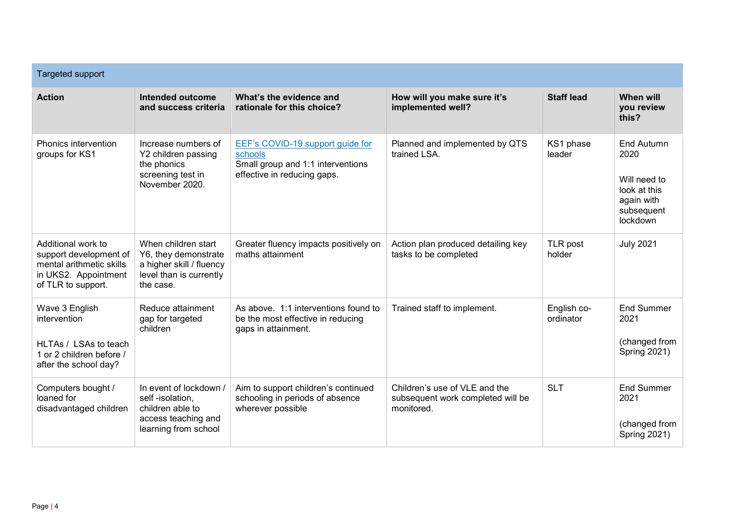| <b>Targeted support</b>                                                                                                |                                                                                                                 |                                                                                                                 |                                                                                  |                          |                                                                                                   |  |
|------------------------------------------------------------------------------------------------------------------------|-----------------------------------------------------------------------------------------------------------------|-----------------------------------------------------------------------------------------------------------------|----------------------------------------------------------------------------------|--------------------------|---------------------------------------------------------------------------------------------------|--|
| <b>Action</b>                                                                                                          | Intended outcome<br>and success criteria                                                                        | What's the evidence and<br>rationale for this choice?                                                           | How will you make sure it's<br>implemented well?                                 | <b>Staff lead</b>        | <b>When will</b><br>you review<br>this?                                                           |  |
| Phonics intervention<br>groups for KS1                                                                                 | Increase numbers of<br>Y2 children passing<br>the phonics<br>screening test in<br>November 2020.                | EEF's COVID-19 support guide for<br>schools<br>Small group and 1:1 interventions<br>effective in reducing gaps. | Planned and implemented by QTS<br>trained LSA.                                   | KS1 phase<br>leader      | <b>End Autumn</b><br>2020<br>Will need to<br>look at this<br>again with<br>subsequent<br>lockdown |  |
| Additional work to<br>support development of<br>mental arithmetic skills<br>in UKS2. Appointment<br>of TLR to support. | When children start<br>Y6, they demonstrate<br>a higher skill / fluency<br>level than is currently<br>the case. | Greater fluency impacts positively on<br>maths attainment                                                       | Action plan produced detailing key<br>tasks to be completed                      | TLR post<br>holder       | <b>July 2021</b>                                                                                  |  |
| Wave 3 English<br>intervention<br>HLTAs / LSAs to teach<br>1 or 2 children before /<br>after the school day?           | Reduce attainment<br>gap for targeted<br>children                                                               | As above. 1:1 interventions found to<br>be the most effective in reducing<br>gaps in attainment.                | Trained staff to implement.                                                      | English co-<br>ordinator | <b>End Summer</b><br>2021<br>(changed from<br><b>Spring 2021)</b>                                 |  |
| Computers bought /<br>loaned for<br>disadvantaged children                                                             | In event of lockdown /<br>self-isolation,<br>children able to<br>access teaching and<br>learning from school    | Aim to support children's continued<br>schooling in periods of absence<br>wherever possible                     | Children's use of VLE and the<br>subsequent work completed will be<br>monitored. | <b>SLT</b>               | <b>End Summer</b><br>2021<br>(changed from<br><b>Spring 2021)</b>                                 |  |